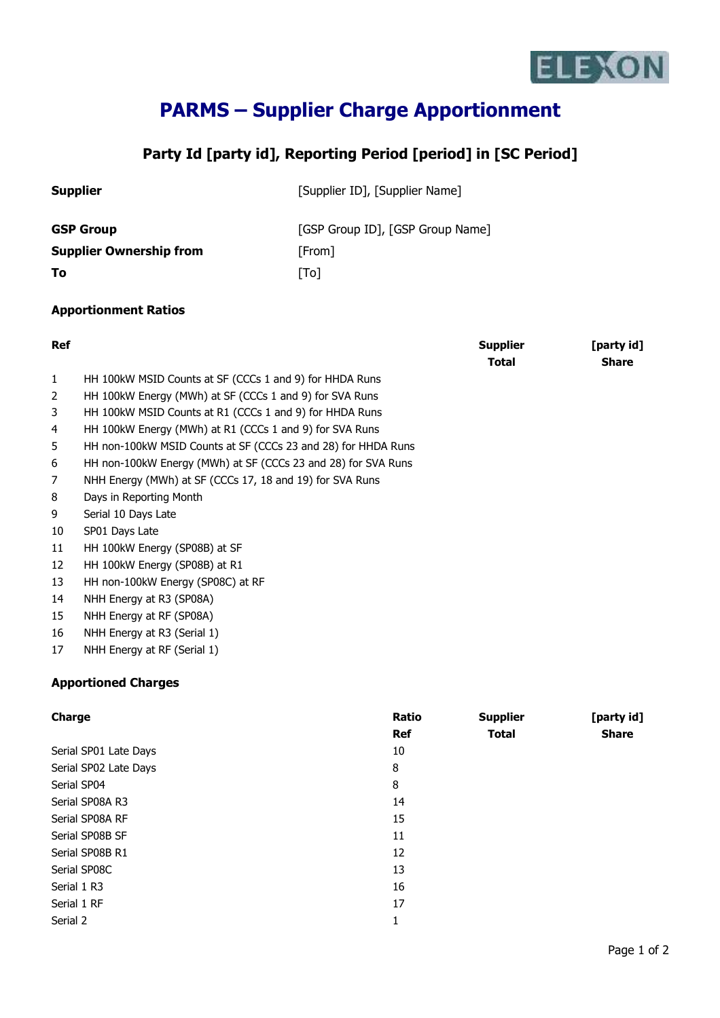

## **PARMS – Supplier Charge Apportionment**

## **Party Id [party id], Reporting Period [period] in [SC Period]**

| <b>Supplier</b>                |                                                         |                           | [Supplier ID], [Supplier Name]   |                            |  |
|--------------------------------|---------------------------------------------------------|---------------------------|----------------------------------|----------------------------|--|
| <b>GSP Group</b>               |                                                         |                           | [GSP Group ID], [GSP Group Name] |                            |  |
| <b>Supplier Ownership from</b> |                                                         | [From]                    |                                  |                            |  |
| To                             |                                                         | $\lceil \text{To} \rceil$ |                                  |                            |  |
|                                | <b>Apportionment Ratios</b>                             |                           |                                  |                            |  |
| <b>Ref</b>                     |                                                         |                           | <b>Supplier</b><br><b>Total</b>  | [party id]<br><b>Share</b> |  |
| $\mathbf{1}$                   | HH 100kW MSID Counts at SF (CCCs 1 and 9) for HHDA Runs |                           |                                  |                            |  |

2 HH 100kW Energy (MWh) at SF (CCCs 1 and 9) for SVA Runs

3 HH 100kW MSID Counts at R1 (CCCs 1 and 9) for HHDA Runs

4 HH 100kW Energy (MWh) at R1 (CCCs 1 and 9) for SVA Runs

5 HH non-100kW MSID Counts at SF (CCCs 23 and 28) for HHDA Runs

- 6 HH non-100kW Energy (MWh) at SF (CCCs 23 and 28) for SVA Runs
- 7 NHH Energy (MWh) at SF (CCCs 17, 18 and 19) for SVA Runs
- 8 Days in Reporting Month
- 9 Serial 10 Days Late
- 10 SP01 Days Late
- 11 HH 100kW Energy (SP08B) at SF
- 12 HH 100kW Energy (SP08B) at R1
- 13 HH non-100kW Energy (SP08C) at RF
- 14 NHH Energy at R3 (SP08A)
- 15 NHH Energy at RF (SP08A)
- 16 NHH Energy at R3 (Serial 1)
- 17 NHH Energy at RF (Serial 1)

## **Apportioned Charges**

| Charge                | Ratio<br><b>Ref</b> | <b>Supplier</b><br><b>Total</b> | [party id]<br><b>Share</b> |
|-----------------------|---------------------|---------------------------------|----------------------------|
| Serial SP01 Late Days | 10                  |                                 |                            |
| Serial SP02 Late Days | 8                   |                                 |                            |
| Serial SP04           | 8                   |                                 |                            |
| Serial SP08A R3       | 14                  |                                 |                            |
| Serial SP08A RF       | 15                  |                                 |                            |
| Serial SP08B SF       | 11                  |                                 |                            |
| Serial SP08B R1       | 12                  |                                 |                            |
| Serial SP08C          | 13                  |                                 |                            |
| Serial 1 R3           | 16                  |                                 |                            |
| Serial 1 RF           | 17                  |                                 |                            |
| Serial 2              | 1                   |                                 |                            |